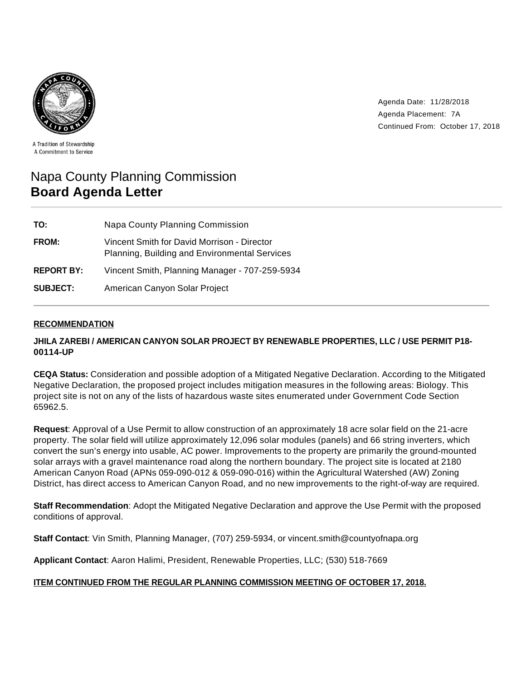

Agenda Date: 11/28/2018 Agenda Placement: 7A Continued From: October 17, 2018

A Tradition of Stewardship A Commitment to Service

# Napa County Planning Commission **Board Agenda Letter**

| TO:               | Napa County Planning Commission                                                              |
|-------------------|----------------------------------------------------------------------------------------------|
| <b>FROM:</b>      | Vincent Smith for David Morrison - Director<br>Planning, Building and Environmental Services |
| <b>REPORT BY:</b> | Vincent Smith, Planning Manager - 707-259-5934                                               |
| <b>SUBJECT:</b>   | American Canyon Solar Project                                                                |

# **RECOMMENDATION**

# **JHILA ZAREBI / AMERICAN CANYON SOLAR PROJECT BY RENEWABLE PROPERTIES, LLC / USE PERMIT P18- 00114-UP**

**CEQA Status:** Consideration and possible adoption of a Mitigated Negative Declaration. According to the Mitigated Negative Declaration, the proposed project includes mitigation measures in the following areas: Biology. This project site is not on any of the lists of hazardous waste sites enumerated under Government Code Section 65962.5.

**Request**: Approval of a Use Permit to allow construction of an approximately 18 acre solar field on the 21-acre property. The solar field will utilize approximately 12,096 solar modules (panels) and 66 string inverters, which convert the sun's energy into usable, AC power. Improvements to the property are primarily the ground-mounted solar arrays with a gravel maintenance road along the northern boundary. The project site is located at 2180 American Canyon Road (APNs 059-090-012 & 059-090-016) within the Agricultural Watershed (AW) Zoning District, has direct access to American Canyon Road, and no new improvements to the right-of-way are required.

**Staff Recommendation**: Adopt the Mitigated Negative Declaration and approve the Use Permit with the proposed conditions of approval.

**Staff Contact**: Vin Smith, Planning Manager, (707) 259-5934, or vincent.smith@countyofnapa.org

**Applicant Contact**: Aaron Halimi, President, Renewable Properties, LLC; (530) 518-7669

## **ITEM CONTINUED FROM THE REGULAR PLANNING COMMISSION MEETING OF OCTOBER 17, 2018.**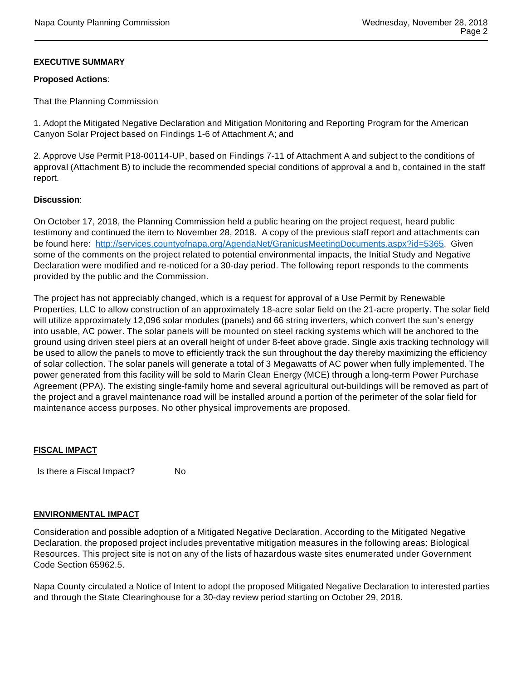# **EXECUTIVE SUMMARY**

## **Proposed Actions**:

That the Planning Commission

1. Adopt the Mitigated Negative Declaration and Mitigation Monitoring and Reporting Program for the American Canyon Solar Project based on Findings 1-6 of Attachment A; and

2. Approve Use Permit P18-00114-UP, based on Findings 7-11 of Attachment A and subject to the conditions of approval (Attachment B) to include the recommended special conditions of approval a and b, contained in the staff report.

## **Discussion**:

On October 17, 2018, the Planning Commission held a public hearing on the project request, heard public testimony and continued the item to November 28, 2018. A copy of the previous staff report and attachments can be found here: http://services.countyofnapa.org/AgendaNet/GranicusMeetingDocuments.aspx?id=5365. Given some of the comments on the project related to potential environmental impacts, the Initial Study and Negative Declaration were modified and re-noticed for a 30-day period. The following report responds to the comments provided by the public and the Commission.

The project has not appreciably changed, which is a request for approval of a Use Permit by Renewable Properties, LLC to allow construction of an approximately 18-acre solar field on the 21-acre property. The solar field will utilize approximately 12,096 solar modules (panels) and 66 string inverters, which convert the sun's energy into usable, AC power. The solar panels will be mounted on steel racking systems which will be anchored to the ground using driven steel piers at an overall height of under 8-feet above grade. Single axis tracking technology will be used to allow the panels to move to efficiently track the sun throughout the day thereby maximizing the efficiency of solar collection. The solar panels will generate a total of 3 Megawatts of AC power when fully implemented. The power generated from this facility will be sold to Marin Clean Energy (MCE) through a long-term Power Purchase Agreement (PPA). The existing single-family home and several agricultural out-buildings will be removed as part of the project and a gravel maintenance road will be installed around a portion of the perimeter of the solar field for maintenance access purposes. No other physical improvements are proposed.

## **FISCAL IMPACT**

Is there a Fiscal Impact? No

## **ENVIRONMENTAL IMPACT**

Consideration and possible adoption of a Mitigated Negative Declaration. According to the Mitigated Negative Declaration, the proposed project includes preventative mitigation measures in the following areas: Biological Resources. This project site is not on any of the lists of hazardous waste sites enumerated under Government Code Section 65962.5.

Napa County circulated a Notice of Intent to adopt the proposed Mitigated Negative Declaration to interested parties and through the State Clearinghouse for a 30-day review period starting on October 29, 2018.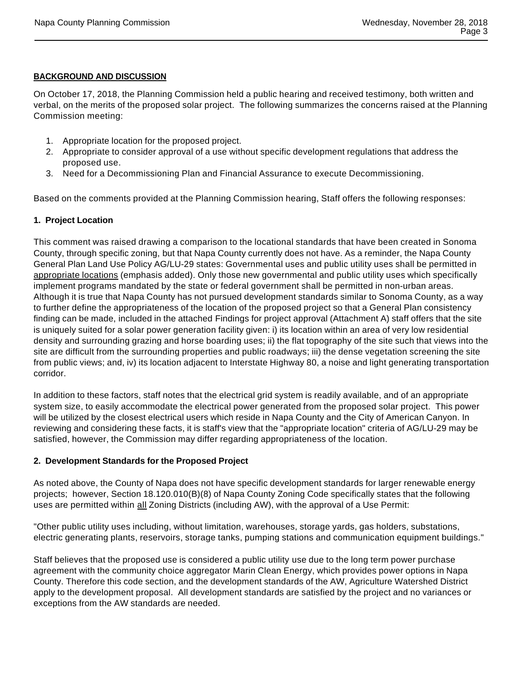#### **BACKGROUND AND DISCUSSION**

On October 17, 2018, the Planning Commission held a public hearing and received testimony, both written and verbal, on the merits of the proposed solar project. The following summarizes the concerns raised at the Planning Commission meeting:

- 1. Appropriate location for the proposed project.
- 2. Appropriate to consider approval of a use without specific development regulations that address the proposed use.
- 3. Need for a Decommissioning Plan and Financial Assurance to execute Decommissioning.

Based on the comments provided at the Planning Commission hearing, Staff offers the following responses:

# **1. Project Location**

This comment was raised drawing a comparison to the locational standards that have been created in Sonoma County, through specific zoning, but that Napa County currently does not have. As a reminder, the Napa County General Plan Land Use Policy AG/LU-29 states: Governmental uses and public utility uses shall be permitted in appropriate locations (emphasis added). Only those new governmental and public utility uses which specifically implement programs mandated by the state or federal government shall be permitted in non-urban areas. Although it is true that Napa County has not pursued development standards similar to Sonoma County, as a way to further define the appropriateness of the location of the proposed project so that a General Plan consistency finding can be made, included in the attached Findings for project approval (Attachment A) staff offers that the site is uniquely suited for a solar power generation facility given: i) its location within an area of very low residential density and surrounding grazing and horse boarding uses; ii) the flat topography of the site such that views into the site are difficult from the surrounding properties and public roadways; iii) the dense vegetation screening the site from public views; and, iv) its location adjacent to Interstate Highway 80, a noise and light generating transportation corridor.

In addition to these factors, staff notes that the electrical grid system is readily available, and of an appropriate system size, to easily accommodate the electrical power generated from the proposed solar project. This power will be utilized by the closest electrical users which reside in Napa County and the City of American Canyon. In reviewing and considering these facts, it is staff's view that the "appropriate location" criteria of AG/LU-29 may be satisfied, however, the Commission may differ regarding appropriateness of the location.

## **2. Development Standards for the Proposed Project**

As noted above, the County of Napa does not have specific development standards for larger renewable energy projects; however, Section 18.120.010(B)(8) of Napa County Zoning Code specifically states that the following uses are permitted within all Zoning Districts (including AW), with the approval of a Use Permit:

"Other public utility uses including, without limitation, warehouses, storage yards, gas holders, substations, electric generating plants, reservoirs, storage tanks, pumping stations and communication equipment buildings."

Staff believes that the proposed use is considered a public utility use due to the long term power purchase agreement with the community choice aggregator Marin Clean Energy, which provides power options in Napa County. Therefore this code section, and the development standards of the AW, Agriculture Watershed District apply to the development proposal. All development standards are satisfied by the project and no variances or exceptions from the AW standards are needed.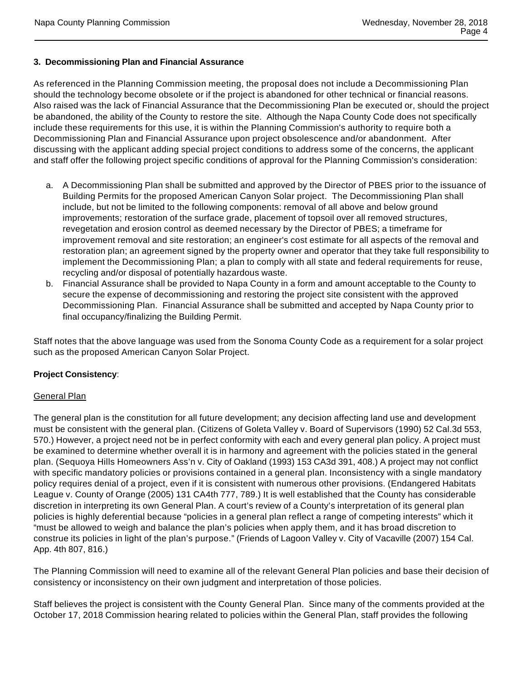# **3. Decommissioning Plan and Financial Assurance**

As referenced in the Planning Commission meeting, the proposal does not include a Decommissioning Plan should the technology become obsolete or if the project is abandoned for other technical or financial reasons. Also raised was the lack of Financial Assurance that the Decommissioning Plan be executed or, should the project be abandoned, the ability of the County to restore the site. Although the Napa County Code does not specifically include these requirements for this use, it is within the Planning Commission's authority to require both a Decommissioning Plan and Financial Assurance upon project obsolescence and/or abandonment. After discussing with the applicant adding special project conditions to address some of the concerns, the applicant and staff offer the following project specific conditions of approval for the Planning Commission's consideration:

- a. A Decommissioning Plan shall be submitted and approved by the Director of PBES prior to the issuance of Building Permits for the proposed American Canyon Solar project. The Decommissioning Plan shall include, but not be limited to the following components: removal of all above and below ground improvements; restoration of the surface grade, placement of topsoil over all removed structures, revegetation and erosion control as deemed necessary by the Director of PBES; a timeframe for improvement removal and site restoration; an engineer's cost estimate for all aspects of the removal and restoration plan; an agreement signed by the property owner and operator that they take full responsibility to implement the Decommissioning Plan; a plan to comply with all state and federal requirements for reuse, recycling and/or disposal of potentially hazardous waste.
- b. Financial Assurance shall be provided to Napa County in a form and amount acceptable to the County to secure the expense of decommissioning and restoring the project site consistent with the approved Decommissioning Plan. Financial Assurance shall be submitted and accepted by Napa County prior to final occupancy/finalizing the Building Permit.

Staff notes that the above language was used from the Sonoma County Code as a requirement for a solar project such as the proposed American Canyon Solar Project.

## **Project Consistency**:

## **General Plan**

The general plan is the constitution for all future development; any decision affecting land use and development must be consistent with the general plan. (Citizens of Goleta Valley v. Board of Supervisors (1990) 52 Cal.3d 553, 570.) However, a project need not be in perfect conformity with each and every general plan policy. A project must be examined to determine whether overall it is in harmony and agreement with the policies stated in the general plan. (Sequoya Hills Homeowners Ass'n v. City of Oakland (1993) 153 CA3d 391, 408.) A project may not conflict with specific mandatory policies or provisions contained in a general plan. Inconsistency with a single mandatory policy requires denial of a project, even if it is consistent with numerous other provisions. (Endangered Habitats League v. County of Orange (2005) 131 CA4th 777, 789.) It is well established that the County has considerable discretion in interpreting its own General Plan. A court's review of a County's interpretation of its general plan policies is highly deferential because "policies in a general plan reflect a range of competing interests" which it "must be allowed to weigh and balance the plan's policies when apply them, and it has broad discretion to construe its policies in light of the plan's purpose." (Friends of Lagoon Valley v. City of Vacaville (2007) 154 Cal. App. 4th 807, 816.)

The Planning Commission will need to examine all of the relevant General Plan policies and base their decision of consistency or inconsistency on their own judgment and interpretation of those policies.

Staff believes the project is consistent with the County General Plan. Since many of the comments provided at the October 17, 2018 Commission hearing related to policies within the General Plan, staff provides the following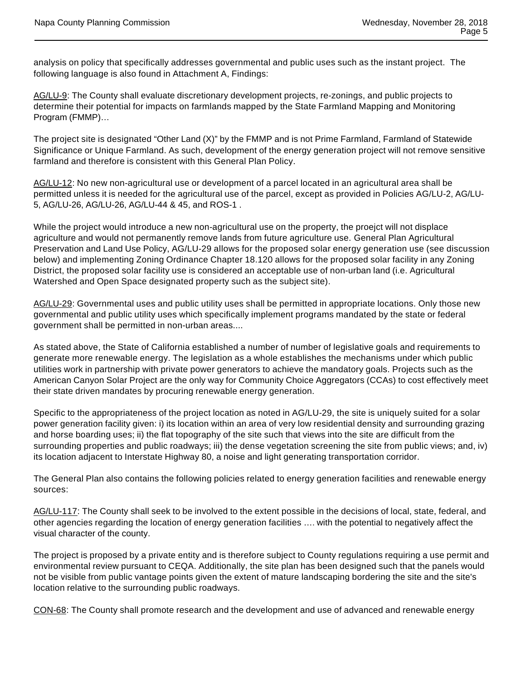analysis on policy that specifically addresses governmental and public uses such as the instant project. The following language is also found in Attachment A, Findings:

AG/LU-9: The County shall evaluate discretionary development projects, re-zonings, and public projects to determine their potential for impacts on farmlands mapped by the State Farmland Mapping and Monitoring Program (FMMP)…

The project site is designated "Other Land (X)" by the FMMP and is not Prime Farmland, Farmland of Statewide Significance or Unique Farmland. As such, development of the energy generation project will not remove sensitive farmland and therefore is consistent with this General Plan Policy.

AG/LU-12: No new non-agricultural use or development of a parcel located in an agricultural area shall be permitted unless it is needed for the agricultural use of the parcel, except as provided in Policies AG/LU-2, AG/LU-5, AG/LU-26, AG/LU-26, AG/LU-44 & 45, and ROS-1 .

While the project would introduce a new non-agricultural use on the property, the proejct will not displace agriculture and would not permanently remove lands from future agriculture use. General Plan Agricultural Preservation and Land Use Policy, AG/LU-29 allows for the proposed solar energy generation use (see discussion below) and implementing Zoning Ordinance Chapter 18.120 allows for the proposed solar facility in any Zoning District, the proposed solar facility use is considered an acceptable use of non-urban land (i.e. Agricultural Watershed and Open Space designated property such as the subject site).

AG/LU-29: Governmental uses and public utility uses shall be permitted in appropriate locations. Only those new governmental and public utility uses which specifically implement programs mandated by the state or federal government shall be permitted in non-urban areas....

As stated above, the State of California established a number of number of legislative goals and requirements to generate more renewable energy. The legislation as a whole establishes the mechanisms under which public utilities work in partnership with private power generators to achieve the mandatory goals. Projects such as the American Canyon Solar Project are the only way for Community Choice Aggregators (CCAs) to cost effectively meet their state driven mandates by procuring renewable energy generation.

Specific to the appropriateness of the project location as noted in AG/LU-29, the site is uniquely suited for a solar power generation facility given: i) its location within an area of very low residential density and surrounding grazing and horse boarding uses; ii) the flat topography of the site such that views into the site are difficult from the surrounding properties and public roadways; iii) the dense vegetation screening the site from public views; and, iv) its location adjacent to Interstate Highway 80, a noise and light generating transportation corridor.

The General Plan also contains the following policies related to energy generation facilities and renewable energy sources:

AG/LU-117: The County shall seek to be involved to the extent possible in the decisions of local, state, federal, and other agencies regarding the location of energy generation facilities …. with the potential to negatively affect the visual character of the county.

The project is proposed by a private entity and is therefore subject to County regulations requiring a use permit and environmental review pursuant to CEQA. Additionally, the site plan has been designed such that the panels would not be visible from public vantage points given the extent of mature landscaping bordering the site and the site's location relative to the surrounding public roadways.

CON-68: The County shall promote research and the development and use of advanced and renewable energy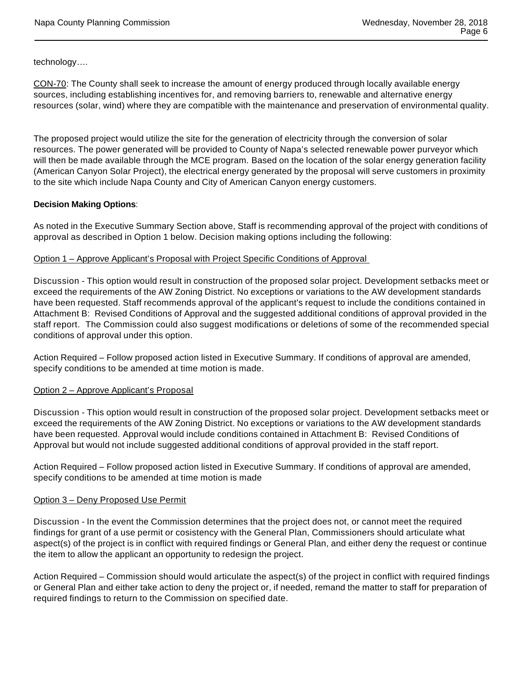technology….

CON-70: The County shall seek to increase the amount of energy produced through locally available energy sources, including establishing incentives for, and removing barriers to, renewable and alternative energy resources (solar, wind) where they are compatible with the maintenance and preservation of environmental quality.

The proposed project would utilize the site for the generation of electricity through the conversion of solar resources. The power generated will be provided to County of Napa's selected renewable power purveyor which will then be made available through the MCE program. Based on the location of the solar energy generation facility (American Canyon Solar Project), the electrical energy generated by the proposal will serve customers in proximity to the site which include Napa County and City of American Canyon energy customers.

#### **Decision Making Options**:

As noted in the Executive Summary Section above, Staff is recommending approval of the project with conditions of approval as described in Option 1 below. Decision making options including the following:

#### Option 1 – Approve Applicant's Proposal with Project Specific Conditions of Approval

Discussion - This option would result in construction of the proposed solar project. Development setbacks meet or exceed the requirements of the AW Zoning District. No exceptions or variations to the AW development standards have been requested. Staff recommends approval of the applicant's request to include the conditions contained in Attachment B: Revised Conditions of Approval and the suggested additional conditions of approval provided in the staff report. The Commission could also suggest modifications or deletions of some of the recommended special conditions of approval under this option.

Action Required – Follow proposed action listed in Executive Summary. If conditions of approval are amended, specify conditions to be amended at time motion is made.

#### Option 2 – Approve Applicant's Proposal

Discussion - This option would result in construction of the proposed solar project. Development setbacks meet or exceed the requirements of the AW Zoning District. No exceptions or variations to the AW development standards have been requested. Approval would include conditions contained in Attachment B: Revised Conditions of Approval but would not include suggested additional conditions of approval provided in the staff report.

Action Required – Follow proposed action listed in Executive Summary. If conditions of approval are amended, specify conditions to be amended at time motion is made

#### Option 3 – Deny Proposed Use Permit

Discussion - In the event the Commission determines that the project does not, or cannot meet the required findings for grant of a use permit or cosistency with the General Plan, Commissioners should articulate what aspect(s) of the project is in conflict with required findings or General Plan, and either deny the request or continue the item to allow the applicant an opportunity to redesign the project.

Action Required – Commission should would articulate the aspect(s) of the project in conflict with required findings or General Plan and either take action to deny the project or, if needed, remand the matter to staff for preparation of required findings to return to the Commission on specified date.